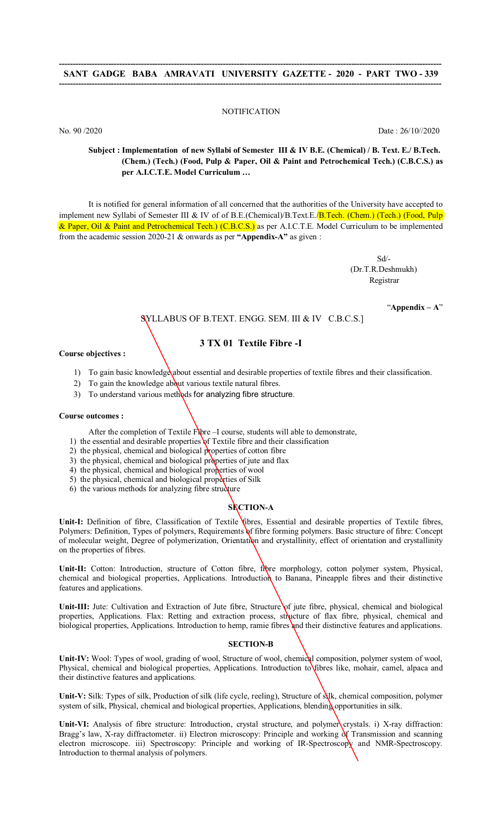### **NOTIFICATION**

No. 90 /2020 Date : 26/10//2020

**Subject : Implementation of new Syllabi of Semester III & IV B.E. (Chemical) / B. Text. E./ B.Tech. (Chem.) (Tech.) (Food, Pulp & Paper, Oil & Paint and Petrochemical Tech.) (C.B.C.S.) as per A.I.C.T.E. Model Curriculum …**

It is notified for general information of all concerned that the authorities of the University have accepted to implement new Syllabi of Semester III & IV of of B.E.(Chemical)/B.Text.E. **B.Tech.** (Chem.) (Tech.) (Food, Pulp & Paper, Oil & Paint and Petrochemical Tech.) (C.B.C.S.) as per A.I.C.T.E. Model Curriculum to be implemented from the academic session 2020-21 & onwards as per **"Appendix-A"** as given :

> Sd/- (Dr.T.R.Deshmukh) Registrar Negra de la Registrar de la Registrar de la Registrar de la Registrar de la Registrar de la Registra

> > "**Appendix – A**"

# SYLLABUS OF B.TEXT. ENGG. SEM. III & IV C.B.C.S.]

# **3 TX 01 Textile Fibre -I**

**Course objectives :** 

- 1) To gain basic knowledge about essential and desirable properties of textile fibres and their classification.
- 2) To gain the knowledge about various textile natural fibres.
- 3) To understand various methods for analyzing fibre structure.

### **Course outcomes :**

- After the completion of Textile Fibre -I course, students will able to demonstrate,
- 1) the essential and desirable properties of Textile fibre and their classification
- 2) the physical, chemical and biological properties of cotton fibre
- 3) the physical, chemical and biological properties of jute and flax
- 4) the physical, chemical and biological properties of wool
- 5) the physical, chemical and biological properties of Silk
- 6) the various methods for analyzing fibre structure
	-

# **SECTION-A**

Unit-I: Definition of fibre, Classification of Textile *fibres*, Essential and desirable properties of Textile fibres, Polymers: Definition, Types of polymers, Requirements of fibre forming polymers. Basic structure of fibre: Concept of molecular weight, Degree of polymerization, Orientation and crystallinity, effect of orientation and crystallinity on the properties of fibres.

Unit-II: Cotton: Introduction, structure of Cotton fibre, fibre morphology, cotton polymer system, Physical, chemical and biological properties, Applications. Introduction to Banana, Pineapple fibres and their distinctive features and applications.

Unit-III: Jute: Cultivation and Extraction of Jute fibre, Structure of jute fibre, physical, chemical and biological properties, Applications. Flax: Retting and extraction process, structure of flax fibre, physical, chemical and biological properties, Applications. Introduction to hemp, ramie fibres and their distinctive features and applications.

### **SECTION-B**

Unit-IV: Wool: Types of wool, grading of wool, Structure of wool, chemical composition, polymer system of wool, Physical, chemical and biological properties, Applications. Introduction to fibres like, mohair, camel, alpaca and their distinctive features and applications.

**Unit-V:** Silk: Types of silk, Production of silk (life cycle, reeling), Structure of silk, chemical composition, polymer system of silk, Physical, chemical and biological properties, Applications, blending opportunities in silk.

**Unit-VI:** Analysis of fibre structure: Introduction, crystal structure, and polymer crystals. i) X-ray diffraction: Bragg's law, X-ray diffractometer. ii) Electron microscopy: Principle and working of Transmission and scanning electron microscope. iii) Spectroscopy: Principle and working of IR-Spectroscopy and NMR-Spectroscopy. Introduction to thermal analysis of polymers.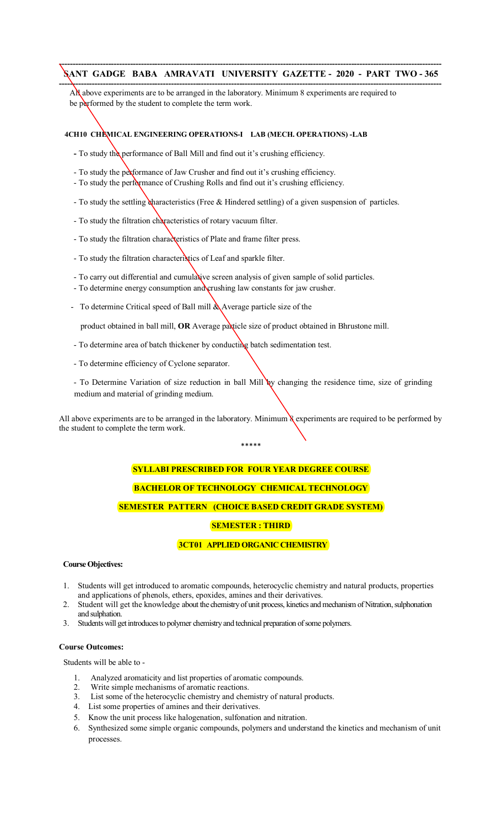**--------------------------------------------------------------------------------------------------------------------------------------------** All above experiments are to be arranged in the laboratory. Minimum 8 experiments are required to be performed by the student to complete the term work.

# **4CH10 CHEMICAL ENGINEERING OPERATIONS-I LAB (MECH. OPERATIONS) -LAB**

- **-** To study the performance of Ball Mill and find out it's crushing efficiency.
- To study the performance of Jaw Crusher and find out it's crushing efficiency.
- To study the performance of Crushing Rolls and find out it's crushing efficiency.
- To study the settling characteristics (Free & Hindered settling) of a given suspension of particles.
- To study the filtration characteristics of rotary vacuum filter.
- To study the filtration characteristics of Plate and frame filter press.
- To study the filtration characteristics of Leaf and sparkle filter.
- To carry out differential and cumulative screen analysis of given sample of solid particles.
- To determine energy consumption and crushing law constants for jaw crusher.
- To determine Critical speed of Ball mill & Average particle size of the

product obtained in ball mill, OR Average paxticle size of product obtained in Bhrustone mill.

- To determine area of batch thickener by conducting batch sedimentation test.
- To determine efficiency of Cyclone separator.

- To Determine Variation of size reduction in ball Mill by changing the residence time, size of grinding medium and material of grinding medium.

All above experiments are to be arranged in the laboratory. Minimum & experiments are required to be performed by the student to complete the term work.

#### \*\*\*\*\*

# **SYLLABI PRESCRIBED FOR FOUR YEAR DEGREE COURSE**

# **BACHELOR OF TECHNOLOGY CHEMICAL TECHNOLOGY**

# **SEMESTER PATTERN (CHOICE BASED CREDIT GRADE SYSTEM)**

# **SEMESTER : THIRD**

# **3CT01 APPLIED ORGANIC CHEMISTRY**

### **Course Objectives:**

- 1. Students will get introduced to aromatic compounds, heterocyclic chemistry and natural products, properties and applications of phenols, ethers, epoxides, amines and their derivatives.
- 2. Student will get the knowledge about the chemistry of unit process, kinetics and mechanism of Nitration, sulphonation and sulphation.
- 3. Students will get introduces to polymer chemistry and technical preparation of some polymers.

### **Course Outcomes:**

Students will be able to -

- 1. Analyzed aromaticity and list properties of aromatic compounds.
- 2. Write simple mechanisms of aromatic reactions.
- 3. List some of the heterocyclic chemistry and chemistry of natural products.
- 4. List some properties of amines and their derivatives.
- 5. Know the unit process like halogenation, sulfonation and nitration.
- 6. Synthesized some simple organic compounds, polymers and understand the kinetics and mechanism of unit processes.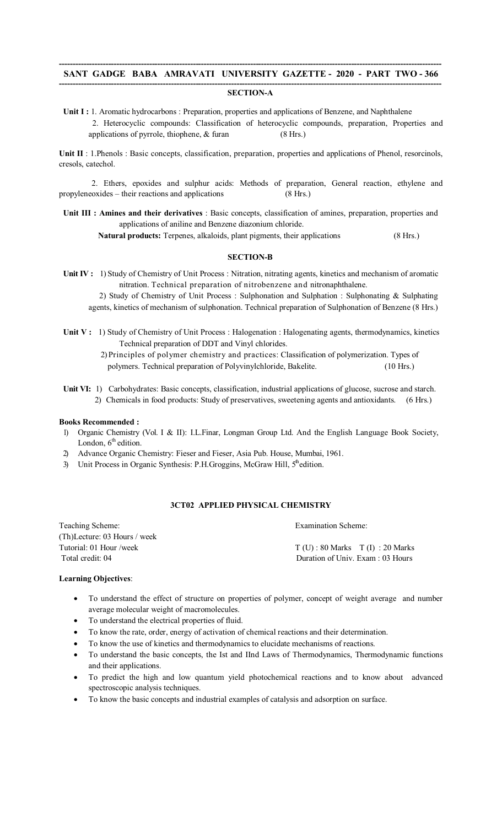#### **-------------------------------------------------------------------------------------------------------------------------------------------- SECTION-A**

Unit I : 1. Aromatic hydrocarbons : Preparation, properties and applications of Benzene, and Naphthalene 2. Heterocyclic compounds: Classification of heterocyclic compounds, preparation, Properties and applications of pyrrole, thiophene, & furan (8 Hrs.)

**Unit II** : 1.Phenols : Basic concepts, classification, preparation, properties and applications of Phenol, resorcinols, cresols, catechol.

 2. Ethers, epoxides and sulphur acids: Methods of preparation, General reaction, ethylene and propyleneoxides – their reactions and applications (8 Hrs.)

**Unit III : Amines and their derivatives** : Basic concepts, classification of amines, preparation, properties and applications of aniline and Benzene diazonium chloride.

Natural products: Terpenes, alkaloids, plant pigments, their applications (8 Hrs.)

### **SECTION-B**

**Unit IV :** 1) Study of Chemistry of Unit Process : Nitration, nitrating agents, kinetics and mechanism of aromatic nitration. Technical preparation of nitrobenzene and nitronaphthalene.

2) Study of Chemistry of Unit Process : Sulphonation and Sulphation : Sulphonating & Sulphating agents, kinetics of mechanism of sulphonation. Technical preparation of Sulphonation of Benzene (8 Hrs.)

- **Unit V :** 1) Study of Chemistry of Unit Process : Halogenation : Halogenating agents, thermodynamics, kinetics Technical preparation of DDT and Vinyl chlorides.
	- 2) Principles of polymer chemistry and practices: Classification of polymerization. Types of polymers. Technical preparation of Polyvinylchloride, Bakelite. (10 Hrs.)
- Unit VI: 1) Carbohydrates: Basic concepts, classification, industrial applications of glucose, sucrose and starch. 2) Chemicals in food products: Study of preservatives, sweetening agents and antioxidants. (6 Hrs.)

# **Books Recommended :**

- 1) Organic Chemistry (Vol. I & II): I.L.Finar, Longman Group Ltd. And the English Language Book Society, London,  $6<sup>th</sup>$  edition.
- 2) Advance Organic Chemistry: Fieser and Fieser, Asia Pub. House, Mumbai, 1961.
- 3) Unit Process in Organic Synthesis: P.H.Groggins, McGraw Hill, 5<sup>th</sup>edition.

# **3CT02 APPLIED PHYSICAL CHEMISTRY**

Teaching Scheme: Examination Scheme: Examination Scheme: (Th)Lecture: 03 Hours / week Tutorial: 01 Hour /week  $T(U)$ : 80 Marks  $T(I)$ : 20 Marks

Total credit: 04 Duration of Univ. Exam : 03 Hours

#### **Learning Objectives**:

- To understand the effect of structure on properties of polymer, concept of weight average and number average molecular weight of macromolecules.
- To understand the electrical properties of fluid.
- To know the rate, order, energy of activation of chemical reactions and their determination.
- To know the use of kinetics and thermodynamics to elucidate mechanisms of reactions.
- To understand the basic concepts, the Ist and IInd Laws of Thermodynamics, Thermodynamic functions and their applications.
- To predict the high and low quantum yield photochemical reactions and to know about advanced spectroscopic analysis techniques.
- To know the basic concepts and industrial examples of catalysis and adsorption on surface.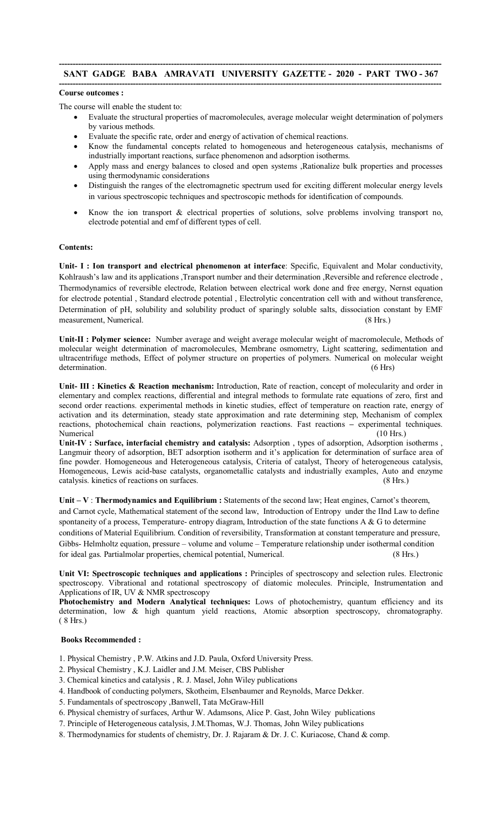### **-------------------------------------------------------------------------------------------------------------------------------------------- SANT GADGE BABA AMRAVATI UNIVERSITY GAZETTE - 2020 - PART TWO - 367 --------------------------------------------------------------------------------------------------------------------------------------------**

### **Course outcomes :**

The course will enable the student to:

- Evaluate the structural properties of macromolecules, average molecular weight determination of polymers by various methods.
- Evaluate the specific rate, order and energy of activation of chemical reactions.
- Know the fundamental concepts related to homogeneous and heterogeneous catalysis, mechanisms of industrially important reactions, surface phenomenon and adsorption isotherms.
- Apply mass and energy balances to closed and open systems ,Rationalize bulk properties and processes using thermodynamic considerations
- Distinguish the ranges of the electromagnetic spectrum used for exciting different molecular energy levels in various spectroscopic techniques and spectroscopic methods for identification of compounds.
- Know the ion transport  $\&$  electrical properties of solutions, solve problems involving transport no, electrode potential and emf of different types of cell.

### **Contents:**

**Unit- I : Ion transport and electrical phenomenon at interface**: Specific, Equivalent and Molar conductivity, Kohlraush's law and its applications ,Transport number and their determination ,Reversible and reference electrode , Thermodynamics of reversible electrode, Relation between electrical work done and free energy, Nernst equation for electrode potential , Standard electrode potential , Electrolytic concentration cell with and without transference, Determination of pH, solubility and solubility product of sparingly soluble salts, dissociation constant by EMF measurement, Numerical. (8 Hrs.)

**Unit-II : Polymer science:** Number average and weight average molecular weight of macromolecule, Methods of molecular weight determination of macromolecules, Membrane osmometry, Light scattering, sedimentation and ultracentrifuge methods, Effect of polymer structure on properties of polymers. Numerical on molecular weight determination. (6 Hrs)

**Unit- III : Kinetics & Reaction mechanism:** Introduction, Rate of reaction, concept of molecularity and order in elementary and complex reactions, differential and integral methods to formulate rate equations of zero, first and second order reactions. experimental methods in kinetic studies, effect of temperature on reaction rate, energy of activation and its determination, steady state approximation and rate determining step, Mechanism of complex reactions, photochemical chain reactions, polymerization reactions. Fast reactions **–** experimental techniques. Numerical (10 Hrs.)

**Unit-IV : Surface, interfacial chemistry and catalysis:** Adsorption , types of adsorption, Adsorption isotherms , Langmuir theory of adsorption, BET adsorption isotherm and it's application for determination of surface area of fine powder. Homogeneous and Heterogeneous catalysis, Criteria of catalyst, Theory of heterogeneous catalysis, Homogeneous, Lewis acid-base catalysts, organometallic catalysts and industrially examples, Auto and enzyme catalysis. kinetics of reactions on surfaces. (8 Hrs.)

**Unit – V** : **Thermodynamics and Equilibrium :** Statements of the second law; Heat engines, Carnot's theorem, and Carnot cycle, Mathematical statement of the second law, Introduction of Entropy under the IInd Law to define spontaneity of a process, Temperature- entropy diagram, Introduction of the state functions A & G to determine conditions of Material Equilibrium. Condition of reversibility, Transformation at constant temperature and pressure, Gibbs- Helmholtz equation, pressure – volume and volume – Temperature relationship under isothermal condition for ideal gas. Partialmolar properties, chemical potential, Numerical. (8 Hrs.)

**Unit VI: Spectroscopic techniques and applications :** Principles of spectroscopy and selection rules. Electronic spectroscopy. Vibrational and rotational spectroscopy of diatomic molecules. Principle, Instrumentation and Applications of IR, UV & NMR spectroscopy

**Photochemistry and Modern Analytical techniques:** Lows of photochemistry, quantum efficiency and its determination, low & high quantum yield reactions, Atomic absorption spectroscopy, chromatography. ( 8 Hrs.)

# **Books Recommended :**

- 1. Physical Chemistry , P.W. Atkins and J.D. Paula, Oxford University Press.
- 2. Physical Chemistry , K.J. Laidler and J.M. Meiser, CBS Publisher
- 3. Chemical kinetics and catalysis , R. J. Masel, John Wiley publications
- 4. Handbook of conducting polymers, Skotheim, Elsenbaumer and Reynolds, Marce Dekker.
- 5. Fundamentals of spectroscopy ,Banwell, Tata McGraw-Hill
- 6. Physical chemistry of surfaces, Arthur W. Adamsons, Alice P. Gast, John Wiley publications
- 7. Principle of Heterogeneous catalysis, J.M.Thomas, W.J. Thomas, John Wiley publications
- 8. Thermodynamics for students of chemistry, Dr. J. Rajaram & Dr. J. C. Kuriacose, Chand & comp.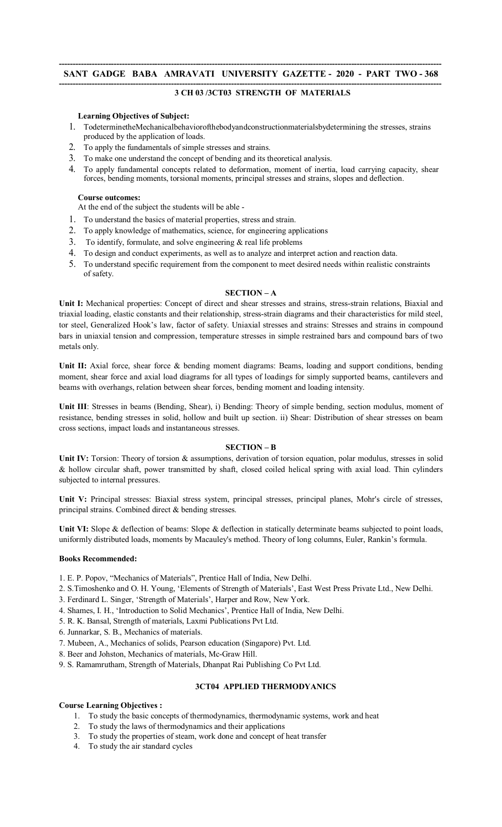### **-------------------------------------------------------------------------------------------------------------------------------------------- SANT GADGE BABA AMRAVATI UNIVERSITY GAZETTE - 2020 - PART TWO - 368 --------------------------------------------------------------------------------------------------------------------------------------------**

# **3 CH 03 /3CT03 STRENGTH OF MATERIALS**

# **Learning Objectives of Subject:**

- 1. TodeterminetheMechanicalbehaviorofthebodyandconstructionmaterialsbydetermining the stresses, strains produced by the application of loads.
- 2. To apply the fundamentals of simple stresses and strains.
- 3. To make one understand the concept of bending and its theoretical analysis.
- 4. To apply fundamental concepts related to deformation, moment of inertia, load carrying capacity, shear forces, bending moments, torsional moments, principal stresses and strains, slopes and deflection.

### **Course outcomes:**

At the end of the subject the students will be able -

- 1. To understand the basics of material properties, stress and strain.
- 2. To apply knowledge of mathematics, science, for engineering applications
- 3. To identify, formulate, and solve engineering  $\&$  real life problems
- 4. To design and conduct experiments, as well as to analyze and interpret action and reaction data.
- 5. To understand specific requirement from the component to meet desired needs within realistic constraints of safety.

### **SECTION – A**

**Unit I:** Mechanical properties: Concept of direct and shear stresses and strains, stress-strain relations, Biaxial and triaxial loading, elastic constants and their relationship, stress-strain diagrams and their characteristics for mild steel, tor steel, Generalized Hook's law, factor of safety. Uniaxial stresses and strains: Stresses and strains in compound bars in uniaxial tension and compression, temperature stresses in simple restrained bars and compound bars of two metals only.

**Unit II:** Axial force, shear force & bending moment diagrams: Beams, loading and support conditions, bending moment, shear force and axial load diagrams for all types of loadings for simply supported beams, cantilevers and beams with overhangs, relation between shear forces, bending moment and loading intensity.

**Unit III**: Stresses in beams (Bending, Shear), i) Bending: Theory of simple bending, section modulus, moment of resistance, bending stresses in solid, hollow and built up section. ii) Shear: Distribution of shear stresses on beam cross sections, impact loads and instantaneous stresses.

### **SECTION – B**

**Unit IV:** Torsion: Theory of torsion & assumptions, derivation of torsion equation, polar modulus, stresses in solid & hollow circular shaft, power transmitted by shaft, closed coiled helical spring with axial load. Thin cylinders subjected to internal pressures.

**Unit V:** Principal stresses: Biaxial stress system, principal stresses, principal planes, Mohr's circle of stresses, principal strains. Combined direct & bending stresses.

Unit VI: Slope & deflection of beams: Slope & deflection in statically determinate beams subjected to point loads, uniformly distributed loads, moments by Macauley's method. Theory of long columns, Euler, Rankin's formula.

### **Books Recommended:**

1. E. P. Popov, "Mechanics of Materials", Prentice Hall of India, New Delhi.

- 2. S.Timoshenko and O. H. Young, 'Elements of Strength of Materials', East West Press Private Ltd., New Delhi.
- 3. Ferdinard L. Singer, 'Strength of Materials', Harper and Row, New York.
- 4. Shames, I. H., 'Introduction to Solid Mechanics', Prentice Hall of India, New Delhi.
- 5. R. K. Bansal, Strength of materials, Laxmi Publications Pvt Ltd.
- 6. Junnarkar, S. B., Mechanics of materials.
- 7. Mubeen, A., Mechanics of solids, Pearson education (Singapore) Pvt. Ltd.
- 8. Beer and Johston, Mechanics of materials, Mc-Graw Hill.
- 9. S. Ramamrutham, Strength of Materials, Dhanpat Rai Publishing Co Pvt Ltd.

# **3CT04 APPLIED THERMODYANICS**

### **Course Learning Objectives :**

- 1. To study the basic concepts of thermodynamics, thermodynamic systems, work and heat
- 2. To study the laws of thermodynamics and their applications
- 3. To study the properties of steam, work done and concept of heat transfer
- 4. To study the air standard cycles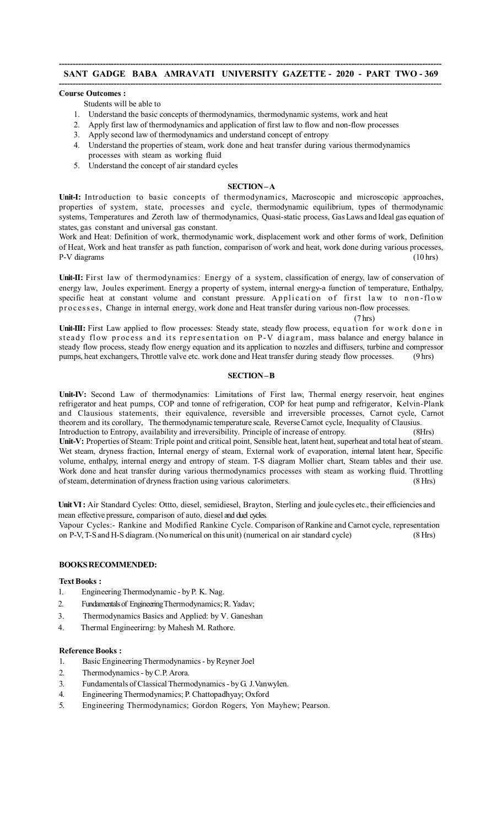#### **-------------------------------------------------------------------------------------------------------------------------------------------- Course Outcomes :**

Students will be able to

- 1. Understand the basic concepts of thermodynamics, thermodynamic systems, work and heat
- 2. Apply first law of thermodynamics and application of first law to flow and non-flow processes
- 3. Apply second law of thermodynamics and understand concept of entropy
- 4. Understand the properties of steam, work done and heat transfer during various thermodynamics processes with steam as working fluid
- 5. Understand the concept of air standard cycles

### **SECTION–A**

Unit-I: Introduction to basic concepts of thermodynamics, Macroscopic and microscopic approaches, properties of system, state, processes and cycle, thermodynamic equilibrium, types of thermodynamic systems, Temperatures and Zeroth law of thermodynamics, Quasi-static process, Gas Laws and Ideal gas equation of states, gas constant and universal gas constant.

Work and Heat: Definition of work, thermodynamic work, displacement work and other forms of work, Definition of Heat, Work and heat transfer as path function, comparison of work and heat, work done during various processes, P-V diagrams (10 hrs)

**Unit-II:** First law of thermodynamics: Energy of a system, classification of energy, law of conservation of energy law, Joules experiment. Energy a property of system, internal energy-a function of temperature, Enthalpy, specific heat at constant volume and constant pressure. Application of first law to non-flow pr oc es s es, Change in internal energy, work done and Heat transfer during various non-flow processes.

(7 hrs)

Unit-III: First Law applied to flow processes: Steady state, steady flow process, equation for work done in steady flow process and its representation on P-V diagram, mass balance and energy balance in steady flow process, steady flow energy equation and its application to nozzles and diffusers, turbine and compressor pumps, heat exchangers, Throttle valve etc. work done and Heat transfer during steady flow processes. (9 hrs)

# **SECTION–B**

Unit-IV: Second Law of thermodynamics: Limitations of First law, Thermal energy reservoir, heat engines refrigerator and heat pumps, COP and tonne of refrigeration, COP for heat pump and refrigerator, Kelvin-Plank and Clausious statements, their equivalence, reversible and irreversible processes, Carnot cycle, Carnot theorem and its corollary, The thermodynamic temperature scale, Reverse Carnot cycle, Inequality of Clausius. Introduction to Entropy, availability and irreversibility. Principle of increase of entropy. (8Hrs) Unit-V: Properties of Steam: Triple point and critical point, Sensible heat, latent heat, superheat and total heat of steam. Wet steam, dryness fraction, Internal energy of steam, External work of evaporation, internal latent hear, Specific volume, enthalpy, internal energy and entropy of steam. T-S diagram Mollier chart, Steam tables and their use. Work done and heat transfer during various thermodynamics processes with steam as working fluid. Throttling of steam, determination of dryness fraction using various calorimeters. (8Hrs)

Unit VI: Air Standard Cycles: Ottto, diesel, semidiesel, Brayton, Sterling and joule cycles etc., their efficiencies and mean effective pressure, comparison of auto, diesel and duel cycles.

Vapour Cycles:- Rankine and Modified Rankine Cycle. Comparison of Rankine and Carnot cycle, representation on P-V, T-Sand H-S diagram.(No numerical on this unit) (numerical on air standard cycle) (8 Hrs)

# **BOOKSRECOMMENDED:**

**TextBooks :**

- 1. Engineering Thermodynamic by P. K. Nag.
- 2. Fundamentals of Engineering Thermodynamics; R. Yadav;
- 3. Thermodynamics Basics and Applied: by V. Ganeshan
- 4. Thermal Engineerirng: by Mahesh M. Rathore.

# **Reference Books :**

- 1. Basic Engineering Thermodynamics- byReyner Joel
- 2. Thermodynamics- byC.P. Arora.
- 3. Fundamentals ofClassicalThermodynamics- byG. J.Vanwylen.
- 4. EngineeringThermodynamics; P. Chattopadhyay; Oxford
- 5. Engineering Thermodynamics; Gordon Rogers, Yon Mayhew; Pearson.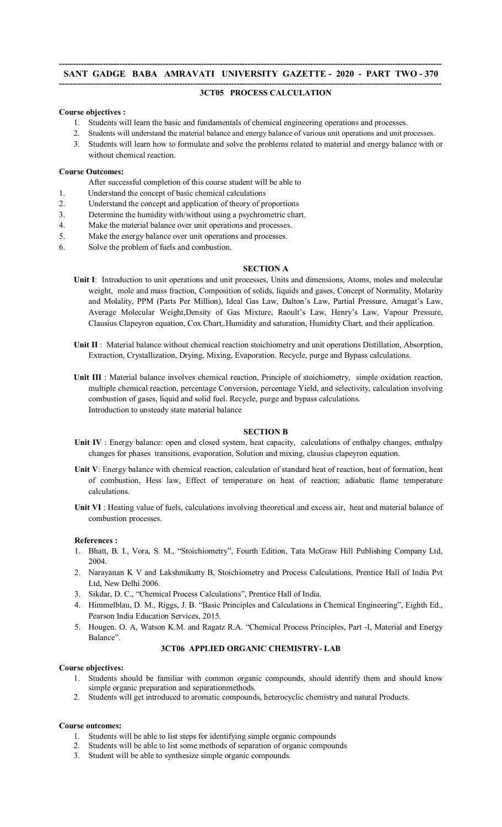### **-------------------------------------------------------------------------------------------------------------------------------------------- SANT GADGE BABA AMRAVATI UNIVERSITY GAZETTE - 2020 - PART TWO - 370 --------------------------------------------------------------------------------------------------------------------------------------------**

### **3CT05 PROCESS CALCULATION**

### **Course objectives :**

- 1. Students will learn the basic and fundamentals of chemical engineering operations and processes.
- 2. Students will understand the material balance and energy balance of various unit operations and unit processes.
- 3. Students will learn how to formulate and solve the problems related to material and energy balance with or without chemical reaction.

### **Course Outcomes:**

- After successful completion of this course student will be able to
- 1. Understand the concept of basic chemical calculations
- 2. Understand the concept and application of theory of proportions
- 3. Determine the humidity with/without using a psychrometric chart.
- 4. Make the material balance over unit operations and processes.
- 5. Make the energy balance over unit operations and processes.
- 6. Solve the problem of fuels and combustion.

### **SECTION A**

- **Unit I**: Introduction to unit operations and unit processes, Units and dimensions, Atoms, moles and molecular weight, mole and mass fraction, Composition of solids, liquids and gases, Concept of Normality, Molarity and Molality, PPM (Parts Per Million), Ideal Gas Law, Dalton's Law, Partial Pressure, Amagat's Law, Average Molecular Weight,Density of Gas Mixture, Raoult's Law, Henry's Law, Vapour Pressure, Clausius Clapeyron equation, Cox Chart,.Humidity and saturation, Humidity Chart, and their application.
- **Unit II** : Material balance without chemical reaction stoichiometry and unit operations Distillation, Absorption, Extraction, Crystallization, Drying, Mixing, Evaporation. Recycle, purge and Bypass calculations.
- **Unit III** : Material balance involves chemical reaction, Principle of stoichiometry, simple oxidation reaction, multiple chemical reaction, percentage Conversion, percentage Yield, and selectivity, calculation involving combustion of gases, liquid and solid fuel. Recycle, purge and bypass calculations. Introduction to unsteady state material balance

#### **SECTION B**

- **Unit IV** : Energy balance: open and closed system, heat capacity, calculations of enthalpy changes, enthalpy changes for phases transitions, evaporation, Solution and mixing, clausius clapeyron equation.
- **Unit V**: Energy balance with chemical reaction, calculation of standard heat of reaction, heat of formation, heat of combustion, Hess law, Effect of temperature on heat of reaction; adiabatic flame temperature calculations.
- **Unit VI** : Heating value of fuels, calculations involving theoretical and excess air, heat and material balance of combustion processes.

### **References :**

- 1. Bhatt, B. I., Vora, S. M., "Stoichiometry", Fourth Edition, Tata McGraw Hill Publishing Company Ltd, 2004.
- 2. Narayanan K V and Lakshmikutty B, Stoichiometry and Process Calculations, Prentice Hall of India Pvt Ltd, New Delhi 2006.
- 3. Sikdar, D. C., "Chemical Process Calculations", Prentice Hall of India.
- 4. Himmelblau, D. M., Riggs, J. B. "Basic Principles and Calculations in Chemical Engineering", Eighth Ed., Pearson India Education Services, 2015.
- 5. Hougen. O. A, Watson K.M. and Ragatz R.A. "Chemical Process Principles, Part -I, Material and Energy Balance".

# **3CT06 APPLIED ORGANIC CHEMISTRY- LAB**

#### **Course objectives:**

- 1. Students should be familiar with common organic compounds, should identify them and should know simple organic preparation and separationmethods.
- 2. Students will get introduced to aromatic compounds, heterocyclic chemistry and natural Products.

# **Course outcomes:**

- 1. Students will be able to list steps for identifying simple organic compounds
- 2. Students will be able to list some methods of separation of organic compounds
- 3. Student will be able to synthesize simple organic compounds.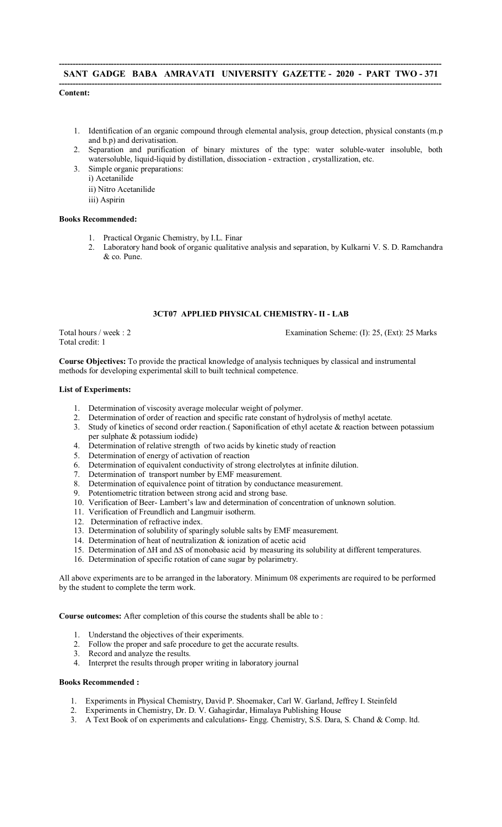### **-------------------------------------------------------------------------------------------------------------------------------------------- SANT GADGE BABA AMRAVATI UNIVERSITY GAZETTE - 2020 - PART TWO - 371 --------------------------------------------------------------------------------------------------------------------------------------------**

# **Content:**

- 1. Identification of an organic compound through elemental analysis, group detection, physical constants (m.p and b.p) and derivatisation.
- 2. Separation and purification of binary mixtures of the type: water soluble-water insoluble, both watersoluble, liquid-liquid by distillation, dissociation - extraction , crystallization, etc.
- 3. Simple organic preparations:
	- i) Acetanilide
	- ii) Nitro Acetanilide
	- iii) Aspirin

### **Books Recommended:**

- 1. Practical Organic Chemistry, by I.L. Finar
- 2. Laboratory hand book of organic qualitative analysis and separation, by Kulkarni V. S. D. Ramchandra & co. Pune.

# **3CT07 APPLIED PHYSICAL CHEMISTRY- II - LAB**

Total credit: 1

Total hours / week : 2 Examination Scheme: (I): 25, (Ext): 25 Marks

**Course Objectives:** To provide the practical knowledge of analysis techniques by classical and instrumental methods for developing experimental skill to built technical competence.

### **List of Experiments:**

- 1. Determination of viscosity average molecular weight of polymer.
- 2. Determination of order of reaction and specific rate constant of hydrolysis of methyl acetate.
- 3. Study of kinetics of second order reaction.( Saponification of ethyl acetate & reaction between potassium per sulphate & potassium iodide)
- 9 Per surpriate  $\alpha$  potassium routed,<br>4. Determination of relative strength of two acids by kinetic study of reaction
- 5. Determination of energy of activation of reaction
- 6. Determination of equivalent conductivity of strong electrolytes at infinite dilution.
- 7. Determination of transport number by EMF measurement.
- 8. Determination of equivalence point of titration by conductance measurement.
- 9. Potentiometric titration between strong acid and strong base.
- 10. Verification of Beer- Lambert's law and determination of concentration of unknown solution.
- 11. Verification of Freundlich and Langmuir isotherm.
- 12. Determination of refractive index.
- 13. Determination of solubility of sparingly soluble salts by EMF measurement.
- 14. Determination of heat of neutralization & ionization of acetic acid
- 15. Determination of ∆H and ∆S of monobasic acid by measuring its solubility at different temperatures.
- 16. Determination of specific rotation of cane sugar by polarimetry.

All above experiments are to be arranged in the laboratory. Minimum 08 experiments are required to be performed by the student to complete the term work.

**Course outcomes:** After completion of this course the students shall be able to :

- 1. Understand the objectives of their experiments.
- 2. Follow the proper and safe procedure to get the accurate results.
- 3. Record and analyze the results.
- 4. Interpret the results through proper writing in laboratory journal

### **Books Recommended :**

- 1. Experiments in Physical Chemistry, David P. Shoemaker, Carl W. Garland, Jeffrey I. Steinfeld
- 2. Experiments in Chemistry, Dr. D. V. Gahagirdar, Himalaya Publishing House
- 3. A Text Book of on experiments and calculations- Engg. Chemistry, S.S. Dara, S. Chand & Comp. ltd.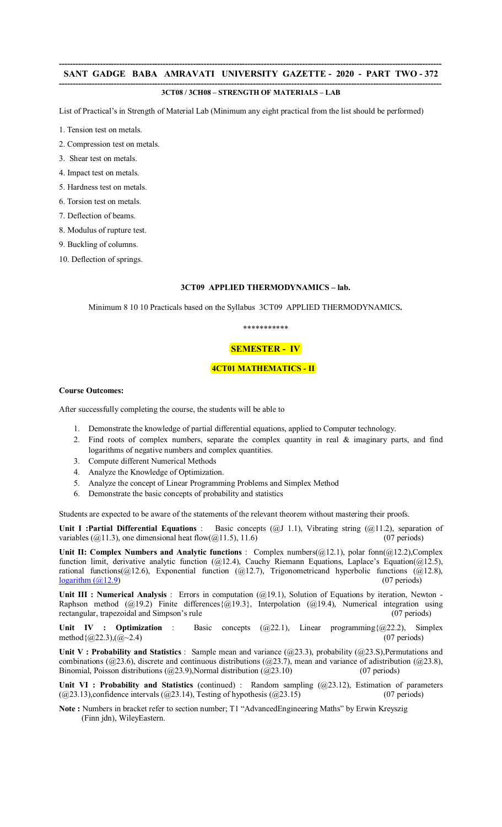### **-------------------------------------------------------------------------------------------------------------------------------------------- 3CT08 / 3CH08 – STRENGTH OF MATERIALS – LAB**

List of Practical's in Strength of Material Lab (Minimum any eight practical from the list should be performed)

- 1. Tension test on metals.
- 2. Compression test on metals.
- 3. Shear test on metals.
- 4. Impact test on metals.
- 5. Hardness test on metals.
- 6. Torsion test on metals.
- 7. Deflection of beams.
- 8. Modulus of rupture test.
- 9. Buckling of columns.
- 10. Deflection of springs.

# **3CT09 APPLIED THERMODYNAMICS – lab.**

Minimum 8 10 10 Practicals based on the Syllabus 3CT09 APPLIED THERMODYNAMICS**.** 

# \*\*\*\*\*\*\*\*\*\*\*

# **SEMESTER - IV**

### **4CT01 MATHEMATICS - II**

#### **Course Outcomes:**

After successfully completing the course, the students will be able to

- 1. Demonstrate the knowledge of partial differential equations, applied to Computer technology.
- 2. Find roots of complex numbers, separate the complex quantity in real & imaginary parts, and find logarithms of negative numbers and complex quantities.
- 3. Compute different Numerical Methods
- 4. Analyze the Knowledge of Optimization.
- 5. Analyze the concept of Linear Programming Problems and Simplex Method
- 6. Demonstrate the basic concepts of probability and statistics

Students are expected to be aware of the statements of the relevant theorem without mastering their proofs.

Unit I :Partial Differential Equations : Basic concepts (@J 1.1), Vibrating string (@11.2), separation of variables ( $\omega$ 11.3), one dimensional heat flow( $\omega$ 11.5), 11.6) (07 periods)

**Unit II: Complex Numbers and Analytic functions** : Complex numbers(@12.1), polar fonn(@12.2),Complex function limit, derivative analytic function  $(Q12.4)$ , Cauchy Riemann Equations, Laplace's Equation( $Q12.5$ ), rational functions(@12.6), Exponential function (@12.7), Trigonometricand hyperbolic functions (@12.8),  $logarithm$  ( $\mathcal{Q}(12.9)$ ) (07 periods)

Unit III : Numerical Analysis : Errors in computation (@19.1), Solution of Equations by iteration, Newton -Raphson method  $(Q_1 19.2)$  Finite differences $\{Q_1 19.3\}$ , Interpolation  $(Q_1 19.4)$ , Numerical integration using rectangular, trapezoidal and Simpson's rule (07 periods) (07 periods)

**Unit IV : Optimization** : Basic concepts  $(Q22.1)$ , Linear programming $\{(Q22.2)$ , Simplex method $\{(Q22.3) \mid (Q_2 \sim 2.4)$  (07 periods) method $\{(a, 22.3), (a, -2.4)\}$ 

**Unit V : Probability and Statistics** : Sample mean and variance (@23.3), probability (@23.S),Permutations and combinations ( $@23.6$ ), discrete and continuous distributions ( $@23.7$ ), mean and variance of adistribution ( $@23.8$ ), Binomial, Poisson distributions ( $@23.9$ ),Normal distribution ( $@23.10$ ) (07 periods)

**Unit VI : Probability and Statistics** (continued) : Random sampling (@23.12), Estimation of parameters  $((a)$ 23.13),confidence intervals  $((a)$ 23.14), Testing of hypothesis  $((a)$ 23.15) (07 periods)

**Note :** Numbers in bracket refer to section number; T1 "AdvancedEngineering Maths" by Erwin Kreyszig (Finn jdn), WileyEastern.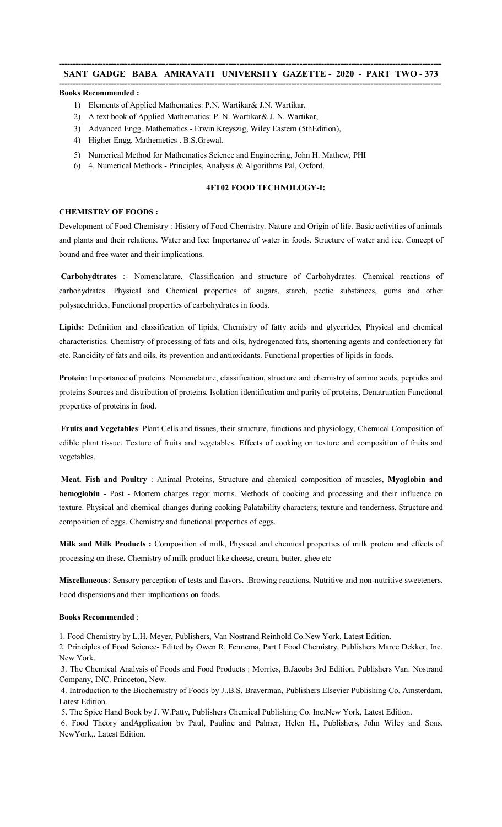#### **-------------------------------------------------------------------------------------------------------------------------------------------- Books Recommended :**

- 1) Elements of Applied Mathematics: P.N. Wartikar& J.N. Wartikar,
- 2) A text book of Applied Mathematics: P. N. Wartikar& J. N. Wartikar,
- 3) Advanced Engg. Mathematics Erwin Kreyszig, Wiley Eastern (5thEdition),
- 4) Higher Engg. Mathemetics . B.S.Grewal.
- 5) Numerical Method for Mathematics Science and Engineering, John H. Mathew, PHI
- 6) 4. Numerical Methods Principles, Analysis & Algorithms Pal, Oxford.

# **4FT02 FOOD TECHNOLOGY-I:**

### **CHEMISTRY OF FOODS :**

Development of Food Chemistry : History of Food Chemistry. Nature and Origin of life. Basic activities of animals and plants and their relations. Water and Ice: Importance of water in foods. Structure of water and ice. Concept of bound and free water and their implications.

**Carbohydtrates** :- Nomenclature, Classification and structure of Carbohydrates. Chemical reactions of carbohydrates. Physical and Chemical properties of sugars, starch, pectic substances, gums and other polysacchrides, Functional properties of carbohydrates in foods.

**Lipids:** Definition and classification of lipids, Chemistry of fatty acids and glycerides, Physical and chemical characteristics. Chemistry of processing of fats and oils, hydrogenated fats, shortening agents and confectionery fat etc. Rancidity of fats and oils, its prevention and antioxidants. Functional properties of lipids in foods.

**Protein**: Importance of proteins. Nomenclature, classification, structure and chemistry of amino acids, peptides and proteins Sources and distribution of proteins. Isolation identification and purity of proteins, Denatruation Functional properties of proteins in food.

**Fruits and Vegetables**: Plant Cells and tissues, their structure, functions and physiology, Chemical Composition of edible plant tissue. Texture of fruits and vegetables. Effects of cooking on texture and composition of fruits and vegetables.

**Meat. Fish and Poultry** : Animal Proteins, Structure and chemical composition of muscles, **Myoglobin and hemoglobin** - Post - Mortem charges regor mortis. Methods of cooking and processing and their influence on texture. Physical and chemical changes during cooking Palatability characters; texture and tenderness. Structure and composition of eggs. Chemistry and functional properties of eggs.

**Milk and Milk Products :** Composition of milk, Physical and chemical properties of milk protein and effects of processing on these. Chemistry of milk product like cheese, cream, butter, ghee etc

**Miscellaneous**: Sensory perception of tests and flavors. .Browing reactions, Nutritive and non-nutritive sweeteners. Food dispersions and their implications on foods.

### **Books Recommended** :

1. Food Chemistry by L.H. Meyer, Publishers, Van Nostrand Reinhold Co.New York, Latest Edition.

2. Principles of Food Science- Edited by Owen R. Fennema, Part I Food Chemistry, Publishers Marce Dekker, Inc. New York.

3. The Chemical Analysis of Foods and Food Products : Morries, B.Jacobs 3rd Edition, Publishers Van. Nostrand Company, INC. Princeton, New.

4. Introduction to the Biochemistry of Foods by J..B.S. Braverman, Publishers Elsevier Publishing Co. Amsterdam, Latest Edition.

5. The Spice Hand Book by J. W.Patty, Publishers Chemical Publishing Co. Inc.New York, Latest Edition.

6. Food Theory andApplication by Paul, Pauline and Palmer, Helen H., Publishers, John Wiley and Sons. NewYork,. Latest Edition.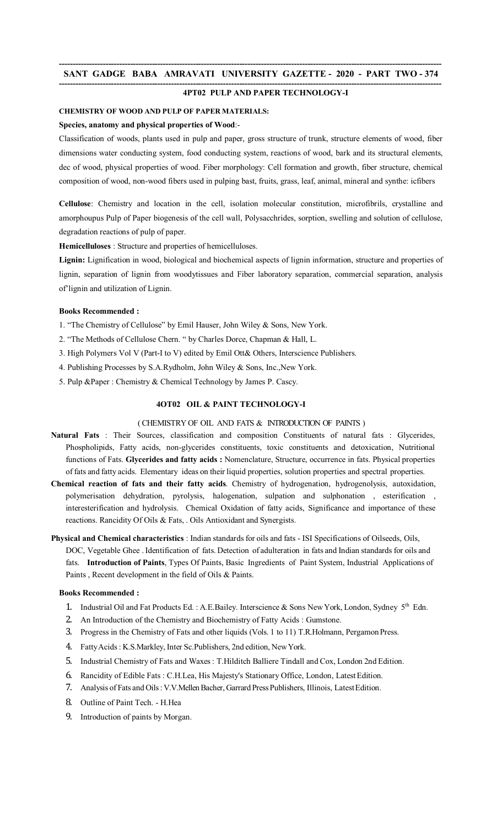#### **-------------------------------------------------------------------------------------------------------------------------------------------- 4PT02 PULP AND PAPER TECHNOLOGY-I**

# **CHEMISTRY OF WOOD AND PULP OF PAPER MATERIALS:**

# **Species, anatomy and physical properties of Wood**:-

Classification of woods, plants used in pulp and paper, gross structure of trunk, structure elements of wood, fiber dimensions water conducting system, food conducting system, reactions of wood, bark and its structural elements, dec of wood, physical properties of wood. Fiber morphology: Cell formation and growth, fiber structure, chemical composition of wood, non-wood fibers used in pulping bast, fruits, grass, leaf, animal, mineral and synthe: icfibers

**Cellulose**: Chemistry and location in the cell, isolation molecular constitution, microfibrils, crystalline and amorphoupus Pulp of Paper biogenesis of the cell wall, Polysacchrides, sorption, swelling and solution of cellulose, degradation reactions of pulp of paper.

**Hemicelluloses** : Structure and properties of hemicelluloses.

**Lignin:** Lignification in wood, biological and biochemical aspects of lignin information, structure and properties of lignin, separation of lignin from woodytissues and Fiber laboratory separation, commercial separation, analysis of'lignin and utilization of Lignin.

### **Books Recommended :**

1. "The Chemistry of Cellulose" by Emil Hauser, John Wiley & Sons, New York.

2. "The Methods of Cellulose Chern. " by Charles Dorce, Chapman & Hall, L.

- 3. High Polymers Vol V (Part-I to V) edited by Emil Ott& Others, Interscience Publishers.
- 4. Publishing Processes by S.A.Rydholm, John Wiley & Sons, Inc.,New York.
- 5. Pulp &Paper : Chemistry & Chemical Technology by James P. Cascy.

# **4OT02 OIL & PAINT TECHNOLOGY-I**

# ( CHEMISTRY OF OIL AND FATS & INTRODUCTION OF PAINTS )

- **Natural Fats** : Their Sources, classification and composition Constituents of natural fats : Glycerides, Phospholipids, Fatty acids, non-glycerides constituents, toxic constituents and detoxication, Nutritional functions of Fats. **Glycerides and fatty acids :** Nomenclature, Structure, occurrence in fats. Physical properties of fats and fatty acids. Elementary ideas on their liquid properties, solution properties and spectral properties.
- **Chemical reaction of fats and their fatty acids**. Chemistry of hydrogenation, hydrogenolysis, autoxidation, polymerisation dehydration, pyrolysis, halogenation, sulpation and sulphonation , esterification , interesterification and hydrolysis. Chemical Oxidation of fatty acids, Significance and importance of these reactions. Rancidity Of Oils & Fats, . Oils Antioxidant and Synergists.
- **Physical and Chemical characteristics** : Indian standards for oils and fats ISI Specifications of Oilseeds, Oils, DOC, Vegetable Ghee .Identification of fats. Detection of adulteration in fats and Indian standards for oils and fats. **Introduction of Paints**, Types Of Paints, Basic Ingredients of Paint System, Industrial Applications of Paints , Recent development in the field of Oils & Paints.

### **Books Recommended :**

- 1. Industrial Oil and Fat Products Ed. : A.E.Bailey. Interscience & Sons New York, London, Sydney 5<sup>th</sup> Edn.
- 2. An Introduction of the Chemistry and Biochemistry of Fatty Acids : Gumstone.
- 3. Progress in the Chemistry of Fats and other liquids (Vols. 1 to 11) T.R.Holmann, Pergamon Press.
- 4. FattyAcids: K.S.Markley, Inter Sc.Publishers, 2nd edition, NewYork.
- 5. Industrial Chemistry of Fats and Waxes : T.Hilditch Balliere Tindall and Cox, London 2nd Edition.
- 6. Rancidity of Edible Fats : C.H.Lea, His Majesty's Stationary Office, London, LatestEdition.
- 7. Analysis of Fats and Oils: V.V.Mellen Bacher, Garrard Press Publishers, Illinois, Latest Edition.
- 8. Outline of Paint Tech. H.Hea
- 9. Introduction of paints by Morgan.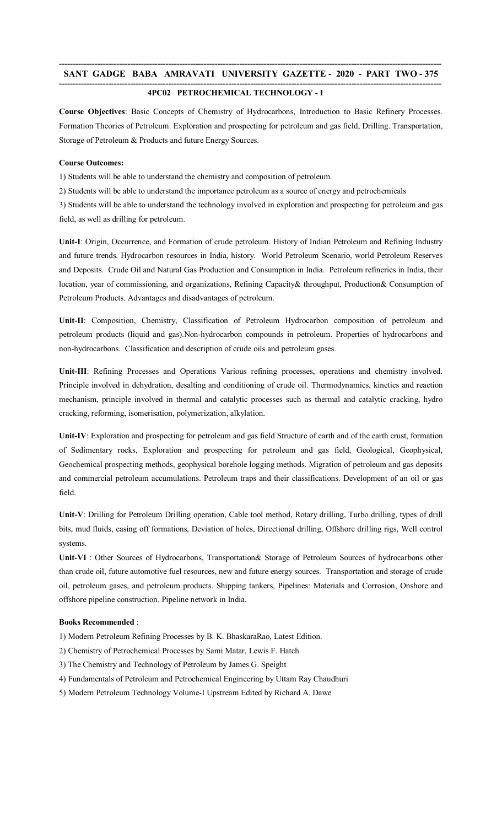#### **-------------------------------------------------------------------------------------------------------------------------------------------- 4PC02 PETROCHEMICAL TECHNOLOGY - I**

**Course Objectives**: Basic Concepts of Chemistry of Hydrocarbons, Introduction to Basic Refinery Processes. Formation Theories of Petroleum. Exploration and prospecting for petroleum and gas field, Drilling. Transportation, Storage of Petroleum & Products and future Energy Sources.

# **Course Outcomes:**

1) Students will be able to understand the chemistry and composition of petroleum.

2) Students will be able to understand the importance petroleum as a source of energy and petrochemicals

3) Students will be able to understand the technology involved in exploration and prospecting for petroleum and gas field, as well as drilling for petroleum.

**Unit-I**: Origin, Occurrence, and Formation of crude petroleum. History of Indian Petroleum and Refining Industry and future trends. Hydrocarbon resources in India, history. World Petroleum Scenario, world Petroleum Reserves and Deposits. Crude Oil and Natural Gas Production and Consumption in India. Petroleum refineries in India, their location, year of commissioning, and organizations, Refining Capacity& throughput, Production& Consumption of Petroleum Products. Advantages and disadvantages of petroleum.

**Unit-II**: Composition, Chemistry, Classification of Petroleum Hydrocarbon composition of petroleum and petroleum products (liquid and gas).Non-hydrocarbon compounds in petroleum. Properties of hydrocarbons and non-hydrocarbons. Classification and description of crude oils and petroleum gases.

**Unit-III**: Refining Processes and Operations Various refining processes, operations and chemistry involved. Principle involved in dehydration, desalting and conditioning of crude oil. Thermodynamics, kinetics and reaction mechanism, principle involved in thermal and catalytic processes such as thermal and catalytic cracking, hydro cracking, reforming, isomerisation, polymerization, alkylation.

**Unit-IV**: Exploration and prospecting for petroleum and gas field Structure of earth and of the earth crust, formation of Sedimentary rocks, Exploration and prospecting for petroleum and gas field, Geological, Geophysical, Geochemical prospecting methods, geophysical borehole logging methods. Migration of petroleum and gas deposits and commercial petroleum accumulations. Petroleum traps and their classifications. Development of an oil or gas field.

**Unit-V**: Drilling for Petroleum Drilling operation, Cable tool method, Rotary drilling, Turbo drilling, types of drill bits, mud fluids, casing off formations, Deviation of holes, Directional drilling, Offshore drilling rigs, Well control systems.

**Unit-VI** : Other Sources of Hydrocarbons, Transportation& Storage of Petroleum Sources of hydrocarbons other than crude oil, future automotive fuel resources, new and future energy sources. Transportation and storage of crude oil, petroleum gases, and petroleum products. Shipping tankers, Pipelines: Materials and Corrosion, Onshore and offshore pipeline construction. Pipeline network in India.

# **Books Recommended** :

1) Modern Petroleum Refining Processes by B. K. BhaskaraRao, Latest Edition.

2) Chemistry of Petrochemical Processes by Sami Matar, Lewis F. Hatch

3) The Chemistry and Technology of Petroleum by James G. Speight

- 4) Fundamentals of Petroleum and Petrochemical Engineering by Uttam Ray Chaudhuri
- 5) Modern Petroleum Technology Volume-I Upstream Edited by Richard A. Dawe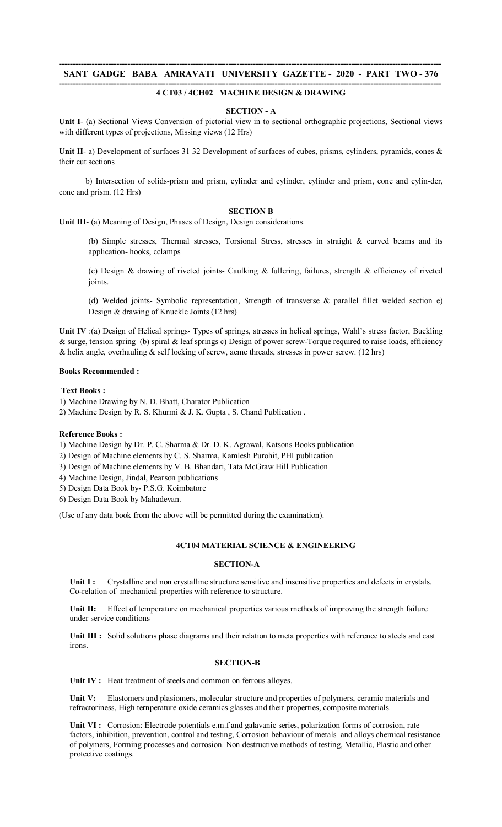#### **-------------------------------------------------------------------------------------------------------------------------------------------- 4 CT03 / 4CH02 MACHINE DESIGN & DRAWING**

### **SECTION - A**

**Unit I**- (a) Sectional Views Conversion of pictorial view in to sectional orthographic projections, Sectional views with different types of projections, Missing views (12 Hrs)

Unit II- a) Development of surfaces 31 32 Development of surfaces of cubes, prisms, cylinders, pyramids, cones & their cut sections

 b) Intersection of solids-prism and prism, cylinder and cylinder, cylinder and prism, cone and cylin-der, cone and prism. (12 Hrs)

# **SECTION B**

**Unit III**- (a) Meaning of Design, Phases of Design, Design considerations.

(b) Simple stresses, Thermal stresses, Torsional Stress, stresses in straight & curved beams and its application- hooks, cclamps

(c) Design & drawing of riveted joints- Caulking & fullering, failures, strength & efficiency of riveted joints.

(d) Welded joints- Symbolic representation, Strength of transverse & parallel fillet welded section e) Design & drawing of Knuckle Joints (12 hrs)

**Unit IV** :(a) Design of Helical springs- Types of springs, stresses in helical springs, Wahl's stress factor, Buckling & surge, tension spring (b) spiral & leaf springs c) Design of power screw-Torque required to raise loads, efficiency & helix angle, overhauling & self locking of screw, acme threads, stresses in power screw. (12 hrs)

#### **Books Recommended :**

### **Text Books :**

1) Machine Drawing by N. D. Bhatt, Charator Publication

2) Machine Design by R. S. Khurmi & J. K. Gupta , S. Chand Publication .

#### **Reference Books :**

1) Machine Design by Dr. P. C. Sharma & Dr. D. K. Agrawal, Katsons Books publication

2) Design of Machine elements by C. S. Sharma, Kamlesh Purohit, PHI publication

3) Design of Machine elements by V. B. Bhandari, Tata McGraw Hill Publication

4) Machine Design, Jindal, Pearson publications

5) Design Data Book by- P.S.G. Koimbatore

6) Design Data Book by Mahadevan.

(Use of any data book from the above will be permitted during the examination).

#### **4CT04 MATERIAL SCIENCE & ENGINEERING**

### **SECTION-A**

**Unit I :** Crystalline and non crystalline structure sensitive and insensitive properties and defects in crystals. Co-relation of mechanical properties with reference to structure.

**Unit II:** Effect of temperature on mechanical properties various rnethods of improving the strength failure under service conditions

**Unit III :** Solid solutions phase diagrams and their relation to meta properties with reference to steels and cast irons.

# **SECTION-B**

Unit IV : Heat treatment of steels and common on ferrous alloyes.

**Unit V:** Elastomers and plasiomers, molecular structure and properties of polymers, ceramic materials and refractoriness, High ternperature oxide ceramics glasses and their properties, composite materials.

**Unit VI :** Corrosion: Electrode potentials e.m.f and galavanic series, polarization forms of corrosion, rate factors, inhibition, prevention, control and testing, Corrosion behaviour of metals and alloys chemical resistance of polymers, Forming processes and corrosion. Non destructive methods of testing, Metallic, Plastic and other protective coatings.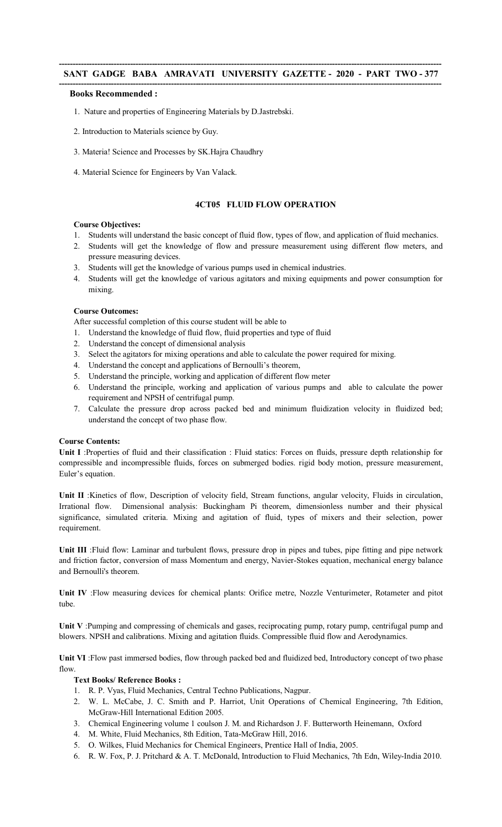### **-------------------------------------------------------------------------------------------------------------------------------------------- Books Recommended :**

- 1. Nature and properties of Engineering Materials by D.Jastrebski.
- 2. Introduction to Materials science by Guy.
- 3. Materia! Science and Processes by SK.Hajra Chaudhry
- 4. Material Science for Engineers by Van Valack.

# **4CT05 FLUID FLOW OPERATION**

# **Course Objectives:**

- 1. Students will understand the basic concept of fluid flow, types of flow, and application of fluid mechanics.
- 2. Students will get the knowledge of flow and pressure measurement using different flow meters, and pressure measuring devices.
- 3. Students will get the knowledge of various pumps used in chemical industries.
- 4. Students will get the knowledge of various agitators and mixing equipments and power consumption for mixing.

# **Course Outcomes:**

After successful completion of this course student will be able to

- 1. Understand the knowledge of fluid flow, fluid properties and type of fluid
- 2. Understand the concept of dimensional analysis
- 3. Select the agitators for mixing operations and able to calculate the power required for mixing.
- 4. Understand the concept and applications of Bernoulli's theorem,
- 5. Understand the principle, working and application of different flow meter
- 6. Understand the principle, working and application of various pumps and able to calculate the power requirement and NPSH of centrifugal pump.
- 7. Calculate the pressure drop across packed bed and minimum fluidization velocity in fluidized bed; understand the concept of two phase flow.

# **Course Contents:**

**Unit I** :Properties of fluid and their classification : Fluid statics: Forces on fluids, pressure depth relationship for compressible and incompressible fluids, forces on submerged bodies. rigid body motion, pressure measurement, Euler's equation.

**Unit II** :Kinetics of flow, Description of velocity field, Stream functions, angular velocity, Fluids in circulation, Irrational flow. Dimensional analysis: Buckingham Pi theorem, dimensionless number and their physical significance, simulated criteria. Mixing and agitation of fluid, types of mixers and their selection, power requirement.

**Unit III** :Fluid flow: Laminar and turbulent flows, pressure drop in pipes and tubes, pipe fitting and pipe network and friction factor, conversion of mass Momentum and energy, Navier-Stokes equation, mechanical energy balance and Bernoulli's theorem.

**Unit IV** :Flow measuring devices for chemical plants: Orifice metre, Nozzle Venturimeter, Rotameter and pitot tube.

**Unit V** :Pumping and compressing of chemicals and gases, reciprocating pump, rotary pump, centrifugal pump and blowers. NPSH and calibrations. Mixing and agitation fluids. Compressible fluid flow and Aerodynamics.

**Unit VI** :Flow past immersed bodies, flow through packed bed and fluidized bed, Introductory concept of two phase flow.

# **Text Books/ Reference Books :**

- 1. R. P. Vyas, Fluid Mechanics, Central Techno Publications, Nagpur.
- 2. W. L. McCabe, J. C. Smith and P. Harriot, Unit Operations of Chemical Engineering, 7th Edition, McGraw-Hill International Edition 2005.
- 3. Chemical Engineering volume 1 coulson J. M. and Richardson J. F. Butterworth Heinemann, Oxford
- 4. M. White, Fluid Mechanics, 8th Edition, Tata-McGraw Hill, 2016.
- 5. O. Wilkes, Fluid Mechanics for Chemical Engineers, Prentice Hall of India, 2005.
- 6. R. W. Fox, P. J. Pritchard & A. T. McDonald, Introduction to Fluid Mechanics, 7th Edn, Wiley-India 2010.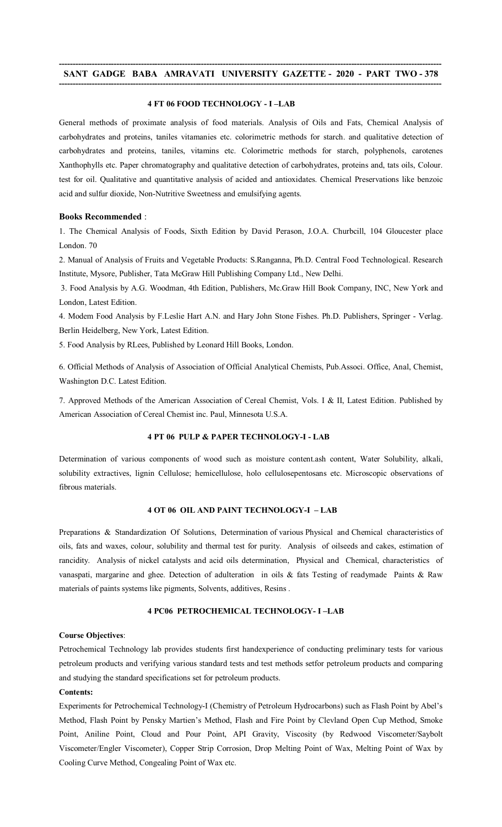### **-------------------------------------------------------------------------------------------------------------------------------------------- SANT GADGE BABA AMRAVATI UNIVERSITY GAZETTE - 2020 - PART TWO - 378 --------------------------------------------------------------------------------------------------------------------------------------------**

# **4 FT 06 FOOD TECHNOLOGY - I –LAB**

General methods of proximate analysis of food materials. Analysis of Oils and Fats, Chemical Analysis of carbohydrates and proteins, taniles vitamanies etc. colorimetric methods for starch. and qualitative detection of carbohydrates and proteins, taniles, vitamins etc. Colorimetric methods for starch, polyphenols, carotenes Xanthophylls etc. Paper chromatography and qualitative detection of carbohydrates, proteins and, tats oils, Colour. test for oil. Qualitative and quantitative analysis of acided and antioxidates. Chemical Preservations like benzoic acid and sulfur dioxide, Non-Nutritive Sweetness and emulsifying agents.

### **Books Recommended** :

1. The Chemical Analysis of Foods, Sixth Edition by David Perason, J.O.A. Churbcill, 104 Gloucester place London. 70

2. Manual of Analysis of Fruits and Vegetable Products: S.Ranganna, Ph.D. Central Food Technological. Research Institute, Mysore, Publisher, Tata McGraw Hill Publishing Company Ltd., New Delhi.

3. Food Analysis by A.G. Woodman, 4th Edition, Publishers, Mc.Graw Hill Book Company, INC, New York and London, Latest Edition.

4. Modem Food Analysis by F.Leslie Hart A.N. and Hary John Stone Fishes. Ph.D. Publishers, Springer - Verlag. Berlin Heidelberg, New York, Latest Edition.

5. Food Analysis by RLees, Published by Leonard Hill Books, London.

6. Official Methods of Analysis of Association of Official Analytical Chemists, Pub.Associ. Office, Anal, Chemist, Washington D.C. Latest Edition.

7. Approved Methods of the American Association of Cereal Chemist, Vols. I & II, Latest Edition. Published by American Association of Cereal Chemist inc. Paul, Minnesota U.S.A.

#### **4 PT 06 PULP & PAPER TECHNOLOGY-I - LAB**

Determination of various components of wood such as moisture content.ash content, Water Solubility, alkali, solubility extractives, lignin Cellulose; hemicellulose, holo cellulosepentosans etc. Microscopic observations of fibrous materials.

# **4 OT 06 OIL AND PAINT TECHNOLOGY-I – LAB**

Preparations & Standardization Of Solutions, Determination of various Physical and Chemical characteristics of oils, fats and waxes, colour, solubility and thermal test for purity. Analysis of oilseeds and cakes, estimation of rancidity. Analysis of nickel catalysts and acid oils determination, Physical and Chemical, characteristics of vanaspati, margarine and ghee. Detection of adulteration in oils & fats Testing of readymade Paints & Raw materials of paints systems like pigments, Solvents, additives, Resins .

### **4 PC06 PETROCHEMICAL TECHNOLOGY- I –LAB**

### **Course Objectives**:

Petrochemical Technology lab provides students first handexperience of conducting preliminary tests for various petroleum products and verifying various standard tests and test methods setfor petroleum products and comparing and studying the standard specifications set for petroleum products.

# **Contents:**

Experiments for Petrochemical Technology-I (Chemistry of Petroleum Hydrocarbons) such as Flash Point by Abel's Method, Flash Point by Pensky Martien's Method, Flash and Fire Point by Clevland Open Cup Method, Smoke Point, Aniline Point, Cloud and Pour Point, API Gravity, Viscosity (by Redwood Viscometer/Saybolt Viscometer/Engler Viscometer), Copper Strip Corrosion, Drop Melting Point of Wax, Melting Point of Wax by Cooling Curve Method, Congealing Point of Wax etc.